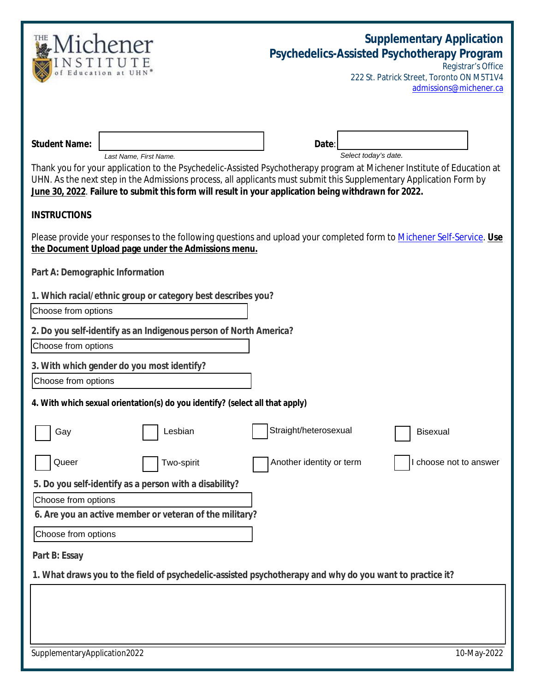| <b>Student Name:</b><br>Date<br>Select today's date.<br>Last Name, First Name.<br>Thank you for your application to the Psychedelic-Assisted Psychotherapy program at Michener Institute of Education at<br>UHN. As the next step in the Admissions process, all applicants must submit this Supplementary Application Form by<br>June 30, 2022. Failure to submit this form will result in your application being withdrawn for 2022.<br><b>INSTRUCTIONS</b><br>Please provide your responses to the following questions and upload your completed form to Michener Self-Service. Use<br>the Document Upload page under the Admissions menu.<br>Part A: Demographic Information<br>1. Which racial/ethnic group or category best describes you?<br>Choose from options<br>2. Do you self-identify as an Indigenous person of North America?<br>Choose from options<br>3. With which gender do you most identify?<br>Choose from options<br>4. With which sexual orientation(s) do you identify? (select all that apply)<br>Straight/heterosexual<br>Lesbian<br><b>Bisexual</b><br>Gay<br>Queer<br>Another identity or term<br>I choose not to answer<br>Two-spirit<br>5. Do you self-identify as a person with a disability?<br>Choose from options<br>6. Are you an active member or veteran of the military?<br>Choose from options<br>Part B: Essay<br>1. What draws you to the field of psychedelic-assisted psychotherapy and why do you want to practice it? |  | Psychedelics-Assisted Psychotherapy Program | <b>Supplementary Application</b><br>Registrar's Office<br>222 St. Patrick Street, Toronto ON M5T1V4<br>admissions@michener.ca |  |
|---------------------------------------------------------------------------------------------------------------------------------------------------------------------------------------------------------------------------------------------------------------------------------------------------------------------------------------------------------------------------------------------------------------------------------------------------------------------------------------------------------------------------------------------------------------------------------------------------------------------------------------------------------------------------------------------------------------------------------------------------------------------------------------------------------------------------------------------------------------------------------------------------------------------------------------------------------------------------------------------------------------------------------------------------------------------------------------------------------------------------------------------------------------------------------------------------------------------------------------------------------------------------------------------------------------------------------------------------------------------------------------------------------------------------------------------------------------------|--|---------------------------------------------|-------------------------------------------------------------------------------------------------------------------------------|--|
|                                                                                                                                                                                                                                                                                                                                                                                                                                                                                                                                                                                                                                                                                                                                                                                                                                                                                                                                                                                                                                                                                                                                                                                                                                                                                                                                                                                                                                                                     |  |                                             |                                                                                                                               |  |
|                                                                                                                                                                                                                                                                                                                                                                                                                                                                                                                                                                                                                                                                                                                                                                                                                                                                                                                                                                                                                                                                                                                                                                                                                                                                                                                                                                                                                                                                     |  |                                             |                                                                                                                               |  |
|                                                                                                                                                                                                                                                                                                                                                                                                                                                                                                                                                                                                                                                                                                                                                                                                                                                                                                                                                                                                                                                                                                                                                                                                                                                                                                                                                                                                                                                                     |  |                                             |                                                                                                                               |  |
|                                                                                                                                                                                                                                                                                                                                                                                                                                                                                                                                                                                                                                                                                                                                                                                                                                                                                                                                                                                                                                                                                                                                                                                                                                                                                                                                                                                                                                                                     |  |                                             |                                                                                                                               |  |
|                                                                                                                                                                                                                                                                                                                                                                                                                                                                                                                                                                                                                                                                                                                                                                                                                                                                                                                                                                                                                                                                                                                                                                                                                                                                                                                                                                                                                                                                     |  |                                             |                                                                                                                               |  |
|                                                                                                                                                                                                                                                                                                                                                                                                                                                                                                                                                                                                                                                                                                                                                                                                                                                                                                                                                                                                                                                                                                                                                                                                                                                                                                                                                                                                                                                                     |  |                                             |                                                                                                                               |  |
|                                                                                                                                                                                                                                                                                                                                                                                                                                                                                                                                                                                                                                                                                                                                                                                                                                                                                                                                                                                                                                                                                                                                                                                                                                                                                                                                                                                                                                                                     |  |                                             |                                                                                                                               |  |
|                                                                                                                                                                                                                                                                                                                                                                                                                                                                                                                                                                                                                                                                                                                                                                                                                                                                                                                                                                                                                                                                                                                                                                                                                                                                                                                                                                                                                                                                     |  |                                             |                                                                                                                               |  |
|                                                                                                                                                                                                                                                                                                                                                                                                                                                                                                                                                                                                                                                                                                                                                                                                                                                                                                                                                                                                                                                                                                                                                                                                                                                                                                                                                                                                                                                                     |  |                                             |                                                                                                                               |  |
|                                                                                                                                                                                                                                                                                                                                                                                                                                                                                                                                                                                                                                                                                                                                                                                                                                                                                                                                                                                                                                                                                                                                                                                                                                                                                                                                                                                                                                                                     |  |                                             |                                                                                                                               |  |
|                                                                                                                                                                                                                                                                                                                                                                                                                                                                                                                                                                                                                                                                                                                                                                                                                                                                                                                                                                                                                                                                                                                                                                                                                                                                                                                                                                                                                                                                     |  |                                             |                                                                                                                               |  |
| SupplementaryApplication2022                                                                                                                                                                                                                                                                                                                                                                                                                                                                                                                                                                                                                                                                                                                                                                                                                                                                                                                                                                                                                                                                                                                                                                                                                                                                                                                                                                                                                                        |  |                                             | 10-May-2022                                                                                                                   |  |